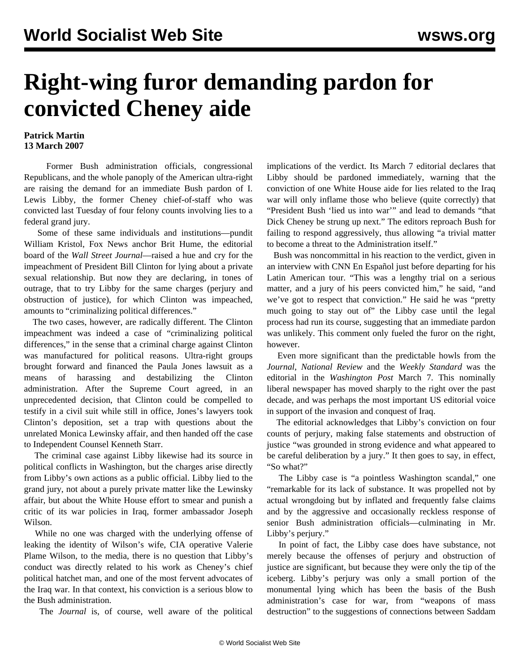## **Right-wing furor demanding pardon for convicted Cheney aide**

## **Patrick Martin 13 March 2007**

 Former Bush administration officials, congressional Republicans, and the whole panoply of the American ultra-right are raising the demand for an immediate Bush pardon of I. Lewis Libby, the former Cheney chief-of-staff who was convicted last Tuesday of four felony counts involving lies to a federal grand jury.

 Some of these same individuals and institutions—pundit William Kristol, Fox News anchor Brit Hume, the editorial board of the *Wall Street Journal*—raised a hue and cry for the impeachment of President Bill Clinton for lying about a private sexual relationship. But now they are declaring, in tones of outrage, that to try Libby for the same charges (perjury and obstruction of justice), for which Clinton was impeached, amounts to "criminalizing political differences."

 The two cases, however, are radically different. The Clinton impeachment was indeed a case of "criminalizing political differences," in the sense that a criminal charge against Clinton was manufactured for political reasons. Ultra-right groups brought forward and financed the Paula Jones lawsuit as a means of harassing and destabilizing the Clinton administration. After the Supreme Court agreed, in an unprecedented decision, that Clinton could be compelled to testify in a civil suit while still in office, Jones's lawyers took Clinton's deposition, set a trap with questions about the unrelated Monica Lewinsky affair, and then handed off the case to Independent Counsel Kenneth Starr.

 The criminal case against Libby likewise had its source in political conflicts in Washington, but the charges arise directly from Libby's own actions as a public official. Libby lied to the grand jury, not about a purely private matter like the Lewinsky affair, but about the White House effort to smear and punish a critic of its war policies in Iraq, former ambassador Joseph Wilson.

 While no one was charged with the underlying offense of leaking the identity of Wilson's wife, CIA operative Valerie Plame Wilson, to the media, there is no question that Libby's conduct was directly related to his work as Cheney's chief political hatchet man, and one of the most fervent advocates of the Iraq war. In that context, his conviction is a serious blow to the Bush administration.

The *Journal* is, of course, well aware of the political

implications of the verdict. Its March 7 editorial declares that Libby should be pardoned immediately, warning that the conviction of one White House aide for lies related to the Iraq war will only inflame those who believe (quite correctly) that "President Bush 'lied us into war'" and lead to demands "that Dick Cheney be strung up next." The editors reproach Bush for failing to respond aggressively, thus allowing "a trivial matter to become a threat to the Administration itself."

 Bush was noncommittal in his reaction to the verdict, given in an interview with CNN En Español just before departing for his Latin American tour. "This was a lengthy trial on a serious matter, and a jury of his peers convicted him," he said, "and we've got to respect that conviction." He said he was "pretty much going to stay out of" the Libby case until the legal process had run its course, suggesting that an immediate pardon was unlikely. This comment only fueled the furor on the right, however.

 Even more significant than the predictable howls from the *Journal*, *National Review* and the *Weekly Standard* was the editorial in the *Washington Post* March 7. This nominally liberal newspaper has moved sharply to the right over the past decade, and was perhaps the most important US editorial voice in support of the invasion and conquest of Iraq.

 The editorial acknowledges that Libby's conviction on four counts of perjury, making false statements and obstruction of justice "was grounded in strong evidence and what appeared to be careful deliberation by a jury." It then goes to say, in effect, "So what?"

 The Libby case is "a pointless Washington scandal," one "remarkable for its lack of substance. It was propelled not by actual wrongdoing but by inflated and frequently false claims and by the aggressive and occasionally reckless response of senior Bush administration officials—culminating in Mr. Libby's perjury."

 In point of fact, the Libby case does have substance, not merely because the offenses of perjury and obstruction of justice are significant, but because they were only the tip of the iceberg. Libby's perjury was only a small portion of the monumental lying which has been the basis of the Bush administration's case for war, from "weapons of mass destruction" to the suggestions of connections between Saddam